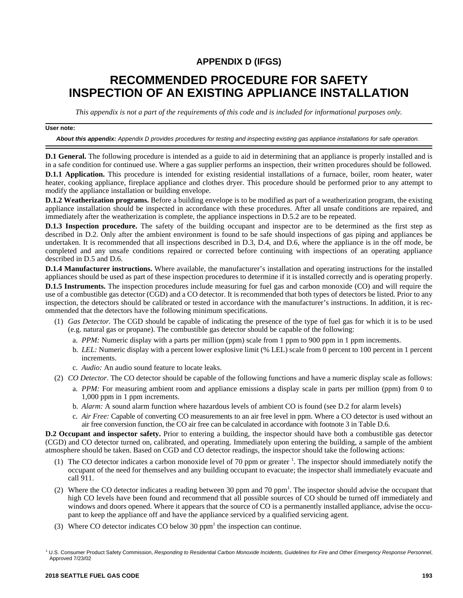# **APPENDIX D (IFGS)**

# **RECOMMENDED PROCEDURE FOR SAFETY INSPECTION OF AN EXISTING APPLIANCE INSTALLATION**

*This appendix is not a part of the requirements of this code and is included for informational purposes only.*

#### **User note:**

*About this appendix: Appendix D provides procedures for testing and inspecting existing gas appliance installations for safe operation.*

**D.1 General.** The following procedure is intended as a guide to aid in determining that an appliance is properly installed and is in a safe condition for continued use. Where a gas supplier performs an inspection, their written procedures should be followed.

**D.1.1 Application.** This procedure is intended for existing residential installations of a furnace, boiler, room heater, water heater, cooking appliance, fireplace appliance and clothes dryer. This procedure should be performed prior to any attempt to modify the appliance installation or building envelope.

**D.1.2 Weatherization programs.** Before a building envelope is to be modified as part of a weatherization program, the existing appliance installation should be inspected in accordance with these procedures. After all unsafe conditions are repaired, and immediately after the weatherization is complete, the appliance inspections in D.5.2 are to be repeated.

**D.1.3 Inspection procedure.** The safety of the building occupant and inspector are to be determined as the first step as described in D.2. Only after the ambient environment is found to be safe should inspections of gas piping and appliances be undertaken. It is recommended that all inspections described in D.3, D.4, and D.6, where the appliance is in the off mode, be completed and any unsafe conditions repaired or corrected before continuing with inspections of an operating appliance described in D.5 and D.6.

**D.1.4 Manufacturer instructions.** Where available, the manufacturer's installation and operating instructions for the installed appliances should be used as part of these inspection procedures to determine if it is installed correctly and is operating properly.

**D.1.5 Instruments.** The inspection procedures include measuring for fuel gas and carbon monoxide (CO) and will require the use of a combustible gas detector (CGD) and a CO detector. It is recommended that both types of detectors be listed. Prior to any inspection, the detectors should be calibrated or tested in accordance with the manufacturer's instructions. In addition, it is recommended that the detectors have the following minimum specifications.

- (1) *Gas Detector.* The CGD should be capable of indicating the presence of the type of fuel gas for which it is to be used (e.g. natural gas or propane). The combustible gas detector should be capable of the following:
	- a. *PPM:* Numeric display with a parts per million (ppm) scale from 1 ppm to 900 ppm in 1 ppm increments.
	- b. *LEL:* Numeric display with a percent lower explosive limit (% LEL) scale from 0 percent to 100 percent in 1 percent increments.
	- c. *Audio:* An audio sound feature to locate leaks.
- (2) *CO Detector.* The CO detector should be capable of the following functions and have a numeric display scale as follows:
	- a. *PPM:* For measuring ambient room and appliance emissions a display scale in parts per million (ppm) from 0 to 1,000 ppm in 1 ppm increments.
	- b. *Alarm:* A sound alarm function where hazardous levels of ambient CO is found (see D.2 for alarm levels)
	- c. *Air Free:* Capable of converting CO measurements to an air free level in ppm. Where a CO detector is used without an air free conversion function, the CO air free can be calculated in accordance with footnote 3 in Table D.6.

**D.2 Occupant and inspector safety.** Prior to entering a building, the inspector should have both a combustible gas detector (CGD) and CO detector turned on, calibrated, and operating. Immediately upon entering the building, a sample of the ambient atmosphere should be taken. Based on CGD and CO detector readings, the inspector should take the following actions:

- (1) The CO detector indicates a carbon monoxide level of 70 ppm or greater  $\frac{1}{1}$ . The inspector should immediately notify the occupant of the need for themselves and any building occupant to evacuate; the inspector shall immediately evacuate and call 911.
- (2) Where the CO detector indicates a reading between 30 ppm and 70 ppm<sup>1</sup>. The inspector should advise the occupant that high CO levels have been found and recommend that all possible sources of CO should be turned off immediately and windows and doors opened. Where it appears that the source of CO is a permanently installed appliance, advise the occupant to keep the appliance off and have the appliance serviced by a qualified servicing agent.
- (3) Where CO detector indicates CO below 30  $ppm<sup>1</sup>$  the inspection can continue.

<sup>1</sup> U.S. Consumer Product Safety Commission, *Responding to Residential Carbon Monoxide Incidents, Guidelines for Fire and Other Emergency Response Personnel*, Approved 7/23/02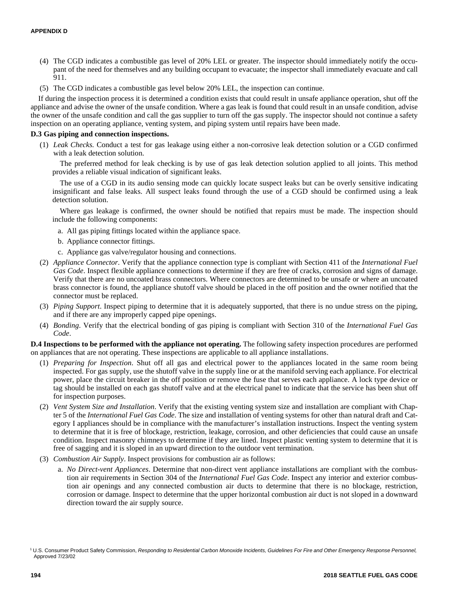- (4) The CGD indicates a combustible gas level of 20% LEL or greater. The inspector should immediately notify the occupant of the need for themselves and any building occupant to evacuate; the inspector shall immediately evacuate and call 911.
- (5) The CGD indicates a combustible gas level below 20% LEL, the inspection can continue.

If during the inspection process it is determined a condition exists that could result in unsafe appliance operation, shut off the appliance and advise the owner of the unsafe condition. Where a gas leak is found that could result in an unsafe condition, advise the owner of the unsafe condition and call the gas supplier to turn off the gas supply. The inspector should not continue a safety inspection on an operating appliance, venting system, and piping system until repairs have been made.

## **D.3 Gas piping and connection inspections.**

(1) *Leak Checks.* Conduct a test for gas leakage using either a non-corrosive leak detection solution or a CGD confirmed with a leak detection solution.

The preferred method for leak checking is by use of gas leak detection solution applied to all joints. This method provides a reliable visual indication of significant leaks.

The use of a CGD in its audio sensing mode can quickly locate suspect leaks but can be overly sensitive indicating insignificant and false leaks. All suspect leaks found through the use of a CGD should be confirmed using a leak detection solution.

Where gas leakage is confirmed, the owner should be notified that repairs must be made. The inspection should include the following components:

- a. All gas piping fittings located within the appliance space.
- b. Appliance connector fittings.
- c. Appliance gas valve/regulator housing and connections.
- (2) *Appliance Connector*. Verify that the appliance connection type is compliant with Section 411 of the *International Fuel Gas Code*. Inspect flexible appliance connections to determine if they are free of cracks, corrosion and signs of damage. Verify that there are no uncoated brass connectors. Where connectors are determined to be unsafe or where an uncoated brass connector is found, the appliance shutoff valve should be placed in the off position and the owner notified that the connector must be replaced.
- (3) *Piping Support*. Inspect piping to determine that it is adequately supported, that there is no undue stress on the piping, and if there are any improperly capped pipe openings.
- (4) *Bonding*. Verify that the electrical bonding of gas piping is compliant with Section 310 of the *International Fuel Gas Code*.

**D.4 Inspections to be performed with the appliance not operating.** The following safety inspection procedures are performed on appliances that are not operating. These inspections are applicable to all appliance installations.

- (1) *Preparing for Inspection*. Shut off all gas and electrical power to the appliances located in the same room being inspected. For gas supply, use the shutoff valve in the supply line or at the manifold serving each appliance. For electrical power, place the circuit breaker in the off position or remove the fuse that serves each appliance. A lock type device or tag should be installed on each gas shutoff valve and at the electrical panel to indicate that the service has been shut off for inspection purposes.
- (2) *Vent System Size and Installation*. Verify that the existing venting system size and installation are compliant with Chapter 5 of the *International Fuel Gas Code*. The size and installation of venting systems for other than natural draft and Category I appliances should be in compliance with the manufacturer's installation instructions. Inspect the venting system to determine that it is free of blockage, restriction, leakage, corrosion, and other deficiencies that could cause an unsafe condition. Inspect masonry chimneys to determine if they are lined. Inspect plastic venting system to determine that it is free of sagging and it is sloped in an upward direction to the outdoor vent termination.
- (3) *Combustion Air Supply*. Inspect provisions for combustion air as follows:
	- a. *No Direct-vent Appliances*. Determine that non-direct vent appliance installations are compliant with the combustion air requirements in Section 304 of the *International Fuel Gas Code*. Inspect any interior and exterior combustion air openings and any connected combustion air ducts to determine that there is no blockage, restriction, corrosion or damage. Inspect to determine that the upper horizontal combustion air duct is not sloped in a downward direction toward the air supply source.

<sup>&</sup>lt;sup>1</sup> U.S. Consumer Product Safety Commission, Responding to Residential Carbon Monoxide Incidents, Guidelines For Fire and Other Emergency Response Personnel, Approved 7/23/02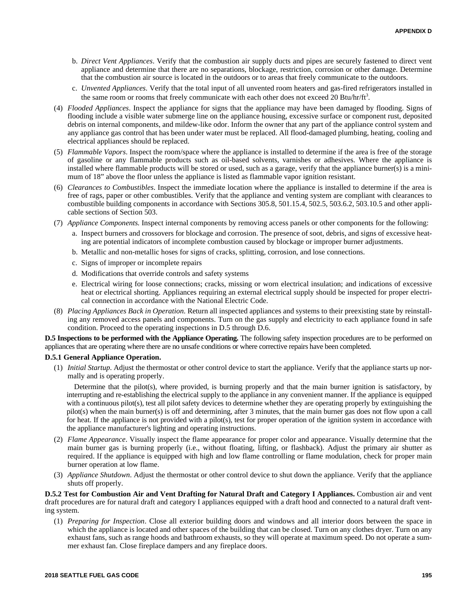- b. *Direct Vent Appliances*. Verify that the combustion air supply ducts and pipes are securely fastened to direct vent appliance and determine that there are no separations, blockage, restriction, corrosion or other damage. Determine that the combustion air source is located in the outdoors or to areas that freely communicate to the outdoors.
- c. *Unvented Appliances*. Verify that the total input of all unvented room heaters and gas-fired refrigerators installed in the same room or rooms that freely communicate with each other does not exceed 20 Btu/hr/ft<sup>3</sup>.
- (4) *Flooded Appliances*. Inspect the appliance for signs that the appliance may have been damaged by flooding. Signs of flooding include a visible water submerge line on the appliance housing, excessive surface or component rust, deposited debris on internal components, and mildew-like odor. Inform the owner that any part of the appliance control system and any appliance gas control that has been under water must be replaced. All flood-damaged plumbing, heating, cooling and electrical appliances should be replaced.
- (5) *Flammable Vapors*. Inspect the room/space where the appliance is installed to determine if the area is free of the storage of gasoline or any flammable products such as oil-based solvents, varnishes or adhesives. Where the appliance is installed where flammable products will be stored or used, such as a garage, verify that the appliance burner(s) is a minimum of 18" above the floor unless the appliance is listed as flammable vapor ignition resistant.
- (6) *Clearances to Combustibles*. Inspect the immediate location where the appliance is installed to determine if the area is free of rags, paper or other combustibles. Verify that the appliance and venting system are compliant with clearances to combustible building components in accordance with Sections 305.8, 501.15.4, 502.5, 503.6.2, 503.10.5 and other applicable sections of Section 503.
- (7) *Appliance Components.* Inspect internal components by removing access panels or other components for the following:
	- a. Inspect burners and crossovers for blockage and corrosion. The presence of soot, debris, and signs of excessive heating are potential indicators of incomplete combustion caused by blockage or improper burner adjustments.
	- b. Metallic and non-metallic hoses for signs of cracks, splitting, corrosion, and lose connections.
	- c. Signs of improper or incomplete repairs
	- d. Modifications that override controls and safety systems
	- e. Electrical wiring for loose connections; cracks, missing or worn electrical insulation; and indications of excessive heat or electrical shorting. Appliances requiring an external electrical supply should be inspected for proper electrical connection in accordance with the National Electric Code.
- (8) *Placing Appliances Back in Operation*. Return all inspected appliances and systems to their preexisting state by reinstalling any removed access panels and components. Turn on the gas supply and electricity to each appliance found in safe condition. Proceed to the operating inspections in D.5 through D.6.

**D.5 Inspections to be performed with the Appliance Operating.** The following safety inspection procedures are to be performed on appliances that are operating where there are no unsafe conditions or where corrective repairs have been completed.

### **D.5.1 General Appliance Operation.**

(1) *Initial Startup*. Adjust the thermostat or other control device to start the appliance. Verify that the appliance starts up normally and is operating properly.

Determine that the pilot(s), where provided, is burning properly and that the main burner ignition is satisfactory, by interrupting and re-establishing the electrical supply to the appliance in any convenient manner. If the appliance is equipped with a continuous pilot(s), test all pilot safety devices to determine whether they are operating properly by extinguishing the pilot(s) when the main burner(s) is off and determining, after 3 minutes, that the main burner gas does not flow upon a call for heat. If the appliance is not provided with a pilot(s), test for proper operation of the ignition system in accordance with the appliance manufacturer's lighting and operating instructions.

- (2) *Flame Appearance*. Visually inspect the flame appearance for proper color and appearance. Visually determine that the main burner gas is burning properly (i.e., without floating, lifting, or flashback). Adjust the primary air shutter as required. If the appliance is equipped with high and low flame controlling or flame modulation, check for proper main burner operation at low flame.
- (3) *Appliance Shutdown*. Adjust the thermostat or other control device to shut down the appliance. Verify that the appliance shuts off properly.

**D.5.2 Test for Combustion Air and Vent Drafting for Natural Draft and Category I Appliances.** Combustion air and vent draft procedures are for natural draft and category I appliances equipped with a draft hood and connected to a natural draft venting system.

(1) *Preparing for Inspection*. Close all exterior building doors and windows and all interior doors between the space in which the appliance is located and other spaces of the building that can be closed. Turn on any clothes dryer. Turn on any exhaust fans, such as range hoods and bathroom exhausts, so they will operate at maximum speed. Do not operate a summer exhaust fan. Close fireplace dampers and any fireplace doors.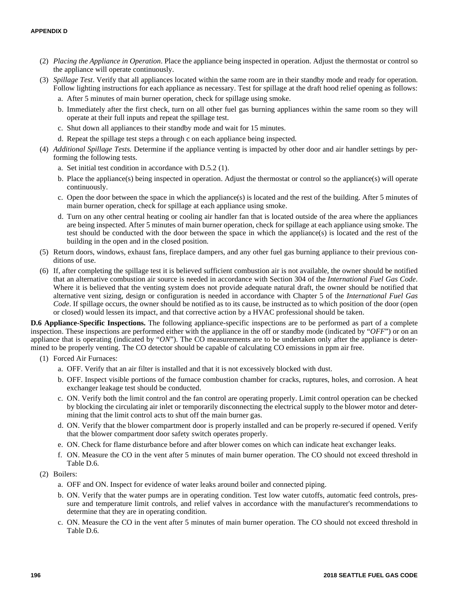#### **APPENDIX D**

- (2) *Placing the Appliance in Operation*. Place the appliance being inspected in operation. Adjust the thermostat or control so the appliance will operate continuously.
- (3) *Spillage Test*. Verify that all appliances located within the same room are in their standby mode and ready for operation. Follow lighting instructions for each appliance as necessary. Test for spillage at the draft hood relief opening as follows:
	- a. After 5 minutes of main burner operation, check for spillage using smoke.
	- b. Immediately after the first check, turn on all other fuel gas burning appliances within the same room so they will operate at their full inputs and repeat the spillage test.
	- c. Shut down all appliances to their standby mode and wait for 15 minutes.
	- d. Repeat the spillage test steps a through c on each appliance being inspected.
- (4) *Additional Spillage Tests.* Determine if the appliance venting is impacted by other door and air handler settings by performing the following tests.
	- a. Set initial test condition in accordance with D.5.2 (1).
	- b. Place the appliance(s) being inspected in operation. Adjust the thermostat or control so the appliance(s) will operate continuously.
	- c. Open the door between the space in which the appliance(s) is located and the rest of the building. After 5 minutes of main burner operation, check for spillage at each appliance using smoke.
	- d. Turn on any other central heating or cooling air handler fan that is located outside of the area where the appliances are being inspected. After 5 minutes of main burner operation, check for spillage at each appliance using smoke. The test should be conducted with the door between the space in which the appliance(s) is located and the rest of the building in the open and in the closed position.
- (5) Return doors, windows, exhaust fans, fireplace dampers, and any other fuel gas burning appliance to their previous conditions of use.
- (6) If, after completing the spillage test it is believed sufficient combustion air is not available, the owner should be notified that an alternative combustion air source is needed in accordance with Section 304 of the *International Fuel Gas Code*. Where it is believed that the venting system does not provide adequate natural draft, the owner should be notified that alternative vent sizing, design or configuration is needed in accordance with Chapter 5 of the *International Fuel Gas Code*. If spillage occurs, the owner should be notified as to its cause, be instructed as to which position of the door (open or closed) would lessen its impact, and that corrective action by a HVAC professional should be taken.

**D.6 Appliance-Specific Inspections.** The following appliance-specific inspections are to be performed as part of a complete inspection. These inspections are performed either with the appliance in the off or standby mode (indicated by "*OFF*") or on an appliance that is operating (indicated by "*ON*"). The CO measurements are to be undertaken only after the appliance is determined to be properly venting. The CO detector should be capable of calculating CO emissions in ppm air free.

- (1) Forced Air Furnaces:
	- a. OFF. Verify that an air filter is installed and that it is not excessively blocked with dust.
	- b. OFF. Inspect visible portions of the furnace combustion chamber for cracks, ruptures, holes, and corrosion. A heat exchanger leakage test should be conducted.
	- c. ON. Verify both the limit control and the fan control are operating properly. Limit control operation can be checked by blocking the circulating air inlet or temporarily disconnecting the electrical supply to the blower motor and determining that the limit control acts to shut off the main burner gas.
	- d. ON. Verify that the blower compartment door is properly installed and can be properly re-secured if opened. Verify that the blower compartment door safety switch operates properly.
	- e. ON. Check for flame disturbance before and after blower comes on which can indicate heat exchanger leaks.
	- f. ON. Measure the CO in the vent after 5 minutes of main burner operation. The CO should not exceed threshold in Table D.6.
- (2) Boilers:
	- a. OFF and ON. Inspect for evidence of water leaks around boiler and connected piping.
	- b. ON. Verify that the water pumps are in operating condition. Test low water cutoffs, automatic feed controls, pressure and temperature limit controls, and relief valves in accordance with the manufacturer's recommendations to determine that they are in operating condition.
	- c. ON. Measure the CO in the vent after 5 minutes of main burner operation. The CO should not exceed threshold in Table D.6.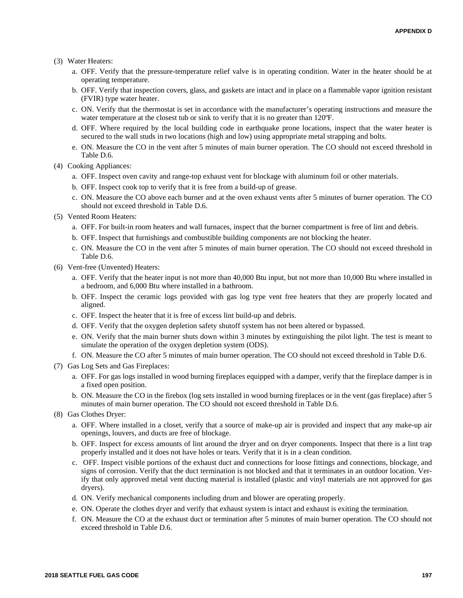- (3) Water Heaters:
	- a. OFF. Verify that the pressure-temperature relief valve is in operating condition. Water in the heater should be at operating temperature.
	- b. OFF. Verify that inspection covers, glass, and gaskets are intact and in place on a flammable vapor ignition resistant (FVIR) type water heater.
	- c. ON. Verify that the thermostat is set in accordance with the manufacturer's operating instructions and measure the water temperature at the closest tub or sink to verify that it is no greater than 120°F.
	- d. OFF. Where required by the local building code in earthquake prone locations, inspect that the water heater is secured to the wall studs in two locations (high and low) using appropriate metal strapping and bolts.
	- e. ON. Measure the CO in the vent after 5 minutes of main burner operation. The CO should not exceed threshold in Table D.6.
- (4) Cooking Appliances:
	- a. OFF. Inspect oven cavity and range-top exhaust vent for blockage with aluminum foil or other materials.
	- b. OFF. Inspect cook top to verify that it is free from a build-up of grease.
	- c. ON. Measure the CO above each burner and at the oven exhaust vents after 5 minutes of burner operation. The CO should not exceed threshold in Table D.6.
- (5) Vented Room Heaters:
	- a. OFF. For built-in room heaters and wall furnaces, inspect that the burner compartment is free of lint and debris.
	- b. OFF. Inspect that furnishings and combustible building components are not blocking the heater.
	- c. ON. Measure the CO in the vent after 5 minutes of main burner operation. The CO should not exceed threshold in Table D.6.
- (6) Vent-free (Unvented) Heaters:
	- a. OFF. Verify that the heater input is not more than 40,000 Btu input, but not more than 10,000 Btu where installed in a bedroom, and 6,000 Btu where installed in a bathroom.
	- b. OFF. Inspect the ceramic logs provided with gas log type vent free heaters that they are properly located and aligned.
	- c. OFF. Inspect the heater that it is free of excess lint build-up and debris.
	- d. OFF. Verify that the oxygen depletion safety shutoff system has not been altered or bypassed.
	- e. ON. Verify that the main burner shuts down within 3 minutes by extinguishing the pilot light. The test is meant to simulate the operation of the oxygen depletion system (ODS).
	- f. ON. Measure the CO after 5 minutes of main burner operation. The CO should not exceed threshold in Table D.6.
- (7) Gas Log Sets and Gas Fireplaces:
	- a. OFF. For gas logs installed in wood burning fireplaces equipped with a damper, verify that the fireplace damper is in a fixed open position.
	- b. ON. Measure the CO in the firebox (log sets installed in wood burning fireplaces or in the vent (gas fireplace) after 5 minutes of main burner operation. The CO should not exceed threshold in Table D.6.
- (8) Gas Clothes Dryer:
	- a. OFF. Where installed in a closet, verify that a source of make-up air is provided and inspect that any make-up air openings, louvers, and ducts are free of blockage.
	- b. OFF. Inspect for excess amounts of lint around the dryer and on dryer components. Inspect that there is a lint trap properly installed and it does not have holes or tears. Verify that it is in a clean condition.
	- c. OFF. Inspect visible portions of the exhaust duct and connections for loose fittings and connections, blockage, and signs of corrosion. Verify that the duct termination is not blocked and that it terminates in an outdoor location. Verify that only approved metal vent ducting material is installed (plastic and vinyl materials are not approved for gas dryers).
	- d. ON. Verify mechanical components including drum and blower are operating properly.
	- e. ON. Operate the clothes dryer and verify that exhaust system is intact and exhaust is exiting the termination.
	- f. ON. Measure the CO at the exhaust duct or termination after 5 minutes of main burner operation. The CO should not exceed threshold in Table D.6.